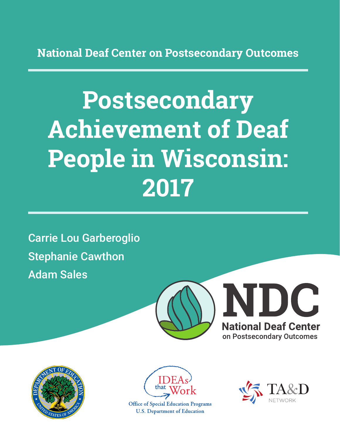**National Deaf Center on Postsecondary Outcomes**

# **Postsecondary Achievement of Deaf People in Wisconsin: 2017**

Carrie Lou Garberoglio Stephanie Cawthon Adam Sales







**Office of Special Education Programs U.S. Department of Education** 

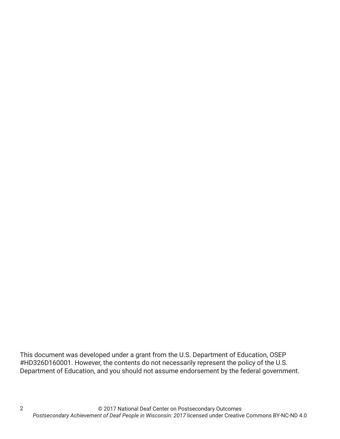This document was developed under a grant from the U.S. Department of Education, OSEP #HD326D160001. However, the contents do not necessarily represent the policy of the U.S. Department of Education, and you should not assume endorsement by the federal government.

2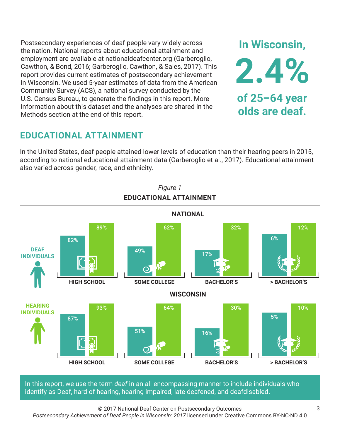Postsecondary experiences of deaf people vary widely across the nation. National reports about educational attainment and employment are available at nationaldeafcenter.org (Garberoglio, Cawthon, & Bond, 2016; Garberoglio, Cawthon, & Sales, 2017). This report provides current estimates of postsecondary achievement in Wisconsin. We used 5-year estimates of data from the American Community Survey (ACS), a national survey conducted by the U.S. Census Bureau, to generate the findings in this report. More information about this dataset and the analyses are shared in the Methods section at the end of this report.

# **EDUCATIONAL ATTAINMENT**

In the United States, deaf people attained lower levels of education than their hearing peers in 2015, according to national educational attainment data (Garberoglio et al., 2017). Educational attainment also varied across gender, race, and ethnicity.



In this report, we use the term *deaf* in an all-encompassing manner to include individuals who identify as Deaf, hard of hearing, hearing impaired, late deafened, and deafdisabled.

© 2017 National Deaf Center on Postsecondary Outcomes

*Postsecondary Achievement of Deaf People in Wisconsin: 2017* licensed under Creative Commons BY-NC-ND 4.0

**In Wisconsin,**

**2.4%**

**of 25–64 year**

**olds are deaf.**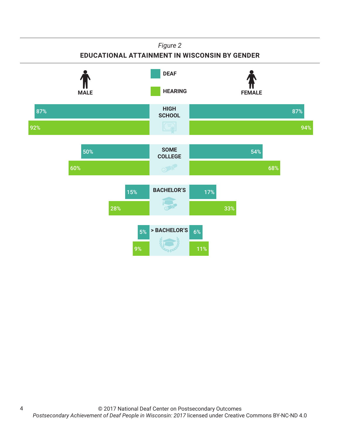#### *Figure 2*

### **EDUCATIONAL ATTAINMENT IN WISCONSIN BY GENDER**



4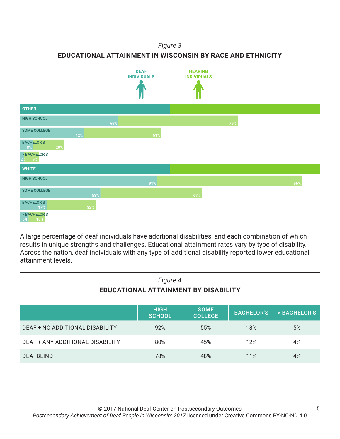*Figure 3*

**EDUCATIONAL ATTAINMENT IN WISCONSIN BY RACE AND ETHNICITY**



A large percentage of deaf individuals have additional disabilities, and each combination of which results in unique strengths and challenges. Educational attainment rates vary by type of disability. Across the nation, deaf individuals with any type of additional disability reported lower educational attainment levels.

| Figure 4<br>EDUCATIONAL ATTAINMENT BY DISABILITY |                              |                               |                   |              |
|--------------------------------------------------|------------------------------|-------------------------------|-------------------|--------------|
|                                                  | <b>HIGH</b><br><b>SCHOOL</b> | <b>SOME</b><br><b>COLLEGE</b> | <b>BACHELOR'S</b> | > BACHELOR'S |
| DEAF + NO ADDITIONAL DISABILITY                  | 92%                          | 55%                           | 18%               | 5%           |
| <b>DEAF + ANY ADDITIONAL DISABILITY</b>          | 80%                          | 45%                           | 12%               | 4%           |
| DEAFBLIND                                        | 78%                          | 48%                           | 11%               | 4%           |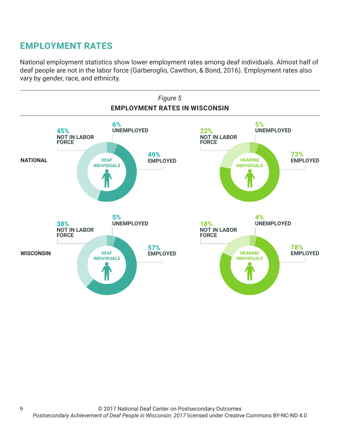# **EMPLOYMENT RATES**

National employment statistics show lower employment rates among deaf individuals. Almost half of deaf people are not in the labor force (Garberoglio, Cawthon, & Bond, 2016). Employment rates also vary by gender, race, and ethnicity.

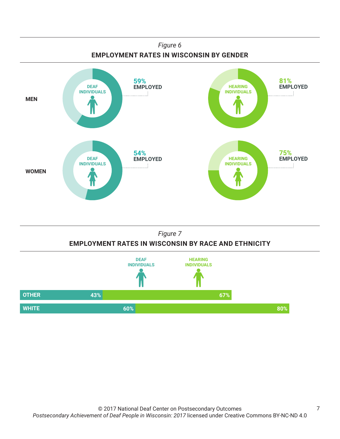

## *Figure 7* **EMPLOYMENT RATES IN WISCONSIN BY RACE AND ETHNICITY**

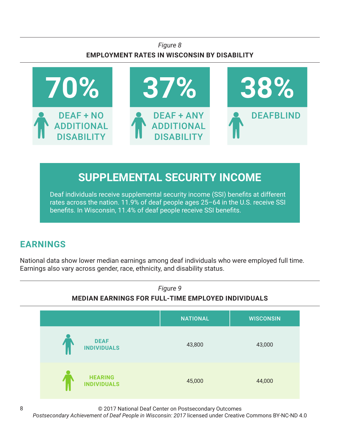## *Figure 8* **EMPLOYMENT RATES IN WISCONSIN BY DISABILITY**



# **SUPPLEMENTAL SECURITY INCOME**

Deaf individuals receive supplemental security income (SSI) benefits at different rates across the nation. 11.9% of deaf people ages 25–64 in the U.S. receive SSI benefits. In Wisconsin, 11.4% of deaf people receive SSI benefits.

# **EARNINGS**

National data show lower median earnings among deaf individuals who were employed full time. Earnings also vary across gender, race, ethnicity, and disability status.



© 2017 National Deaf Center on Postsecondary Outcomes

*Postsecondary Achievement of Deaf People in Wisconsin: 2017* licensed under Creative Commons BY-NC-ND 4.0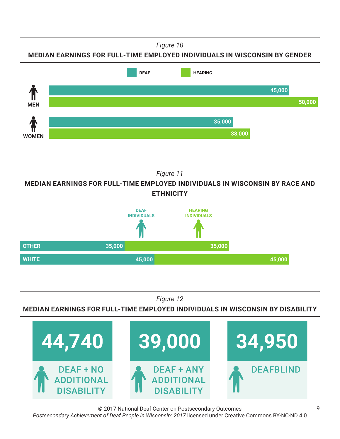*Figure 10*

**MEDIAN EARNINGS FOR FULL-TIME EMPLOYED INDIVIDUALS IN WISCONSIN BY GENDER**



*Figure 11*

**MEDIAN EARNINGS FOR FULL-TIME EMPLOYED INDIVIDUALS IN WISCONSIN BY RACE AND ETHNICITY**



*Figure 12*

**MEDIAN EARNINGS FOR FULL-TIME EMPLOYED INDIVIDUALS IN WISCONSIN BY DISABILITY**



© 2017 National Deaf Center on Postsecondary Outcomes *Postsecondary Achievement of Deaf People in Wisconsin: 2017* licensed under Creative Commons BY-NC-ND 4.0